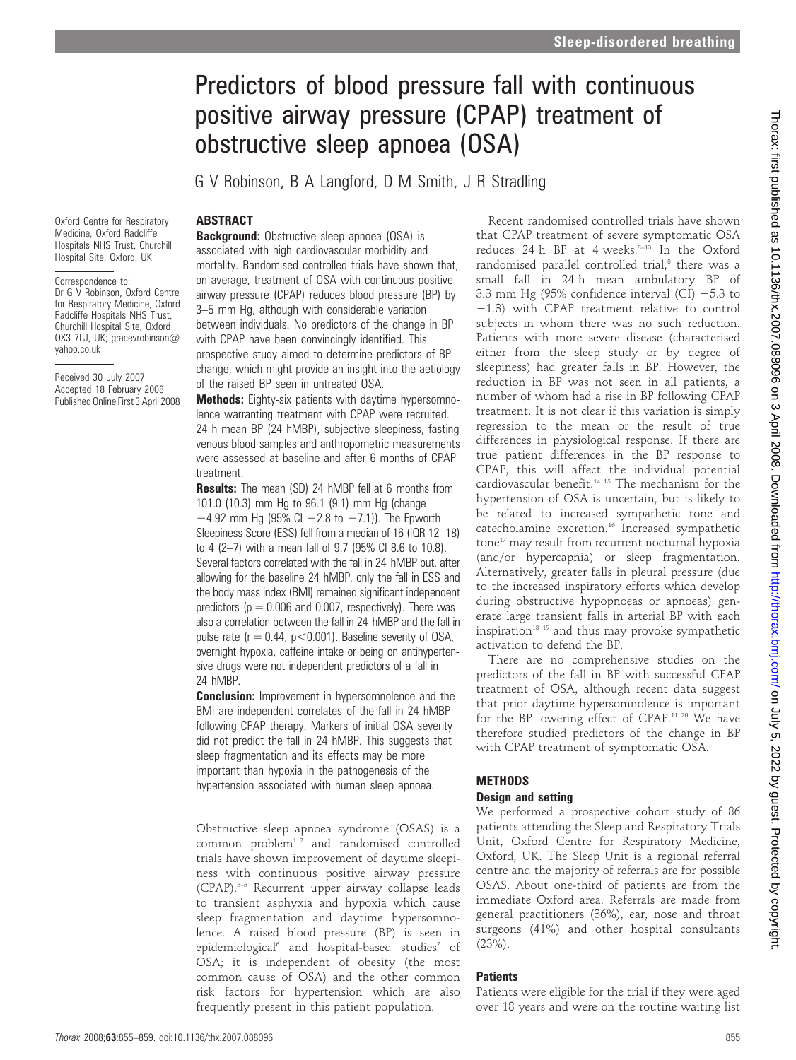# Predictors of blood pressure fall with continuous positive airway pressure (CPAP) treatment of obstructive sleep apnoea (OSA)

G V Robinson, B A Langford, D M Smith, J R Stradling

# ABSTRACT

Oxford Centre for Respiratory Medicine, Oxford Radcliffe Hospitals NHS Trust, Churchill Hospital Site, Oxford, UK

Correspondence to: Dr G V Robinson, Oxford Centre for Respiratory Medicine, Oxford Radcliffe Hospitals NHS Trust, Churchill Hospital Site, Oxford OX3 7LJ, UK; gracevrobinson@ yahoo.co.uk

Received 30 July 2007 Accepted 18 February 2008 Published Online First 3 April 2008

**Background:** Obstructive sleep apnoea (OSA) is associated with high cardiovascular morbidity and mortality. Randomised controlled trials have shown that, on average, treatment of OSA with continuous positive airway pressure (CPAP) reduces blood pressure (BP) by 3–5 mm Hg, although with considerable variation between individuals. No predictors of the change in BP with CPAP have been convincingly identified. This prospective study aimed to determine predictors of BP change, which might provide an insight into the aetiology of the raised BP seen in untreated OSA.

Methods: Eighty-six patients with daytime hypersomnolence warranting treatment with CPAP were recruited. 24 h mean BP (24 hMBP), subjective sleepiness, fasting venous blood samples and anthropometric measurements were assessed at baseline and after 6 months of CPAP treatment.

**Results:** The mean (SD) 24 hMBP fell at 6 months from 101.0 (10.3) mm Hg to 96.1 (9.1) mm Hg (change  $-4.92$  mm Hg (95% CI  $-2.8$  to  $-7.1$ )). The Epworth Sleepiness Score (ESS) fell from a median of 16 (IQR 12–18) to 4 (2–7) with a mean fall of 9.7 (95% CI 8.6 to 10.8). Several factors correlated with the fall in 24 hMBP but, after allowing for the baseline 24 hMBP, only the fall in ESS and the body mass index (BMI) remained significant independent predictors ( $p = 0.006$  and 0.007, respectively). There was also a correlation between the fall in 24 hMBP and the fall in pulse rate ( $r = 0.44$ ,  $p < 0.001$ ). Baseline severity of OSA, overnight hypoxia, caffeine intake or being on antihypertensive drugs were not independent predictors of a fall in 24 hMBP.

**Conclusion:** Improvement in hypersomnolence and the BMI are independent correlates of the fall in 24 hMBP following CPAP therapy. Markers of initial OSA severity did not predict the fall in 24 hMBP. This suggests that sleep fragmentation and its effects may be more important than hypoxia in the pathogenesis of the hypertension associated with human sleep apnoea.

Obstructive sleep apnoea syndrome (OSAS) is a common problem $12$  and randomised controlled trials have shown improvement of daytime sleepiness with continuous positive airway pressure (CPAP).3–5 Recurrent upper airway collapse leads to transient asphyxia and hypoxia which cause sleep fragmentation and daytime hypersomnolence. A raised blood pressure (BP) is seen in epidemiological<sup>6</sup> and hospital-based studies<sup>7</sup> of OSA; it is independent of obesity (the most common cause of OSA) and the other common risk factors for hypertension which are also frequently present in this patient population.

Recent randomised controlled trials have shown that CPAP treatment of severe symptomatic OSA reduces 24 h BP at 4 weeks.<sup>8-13</sup> In the Oxford randomised parallel controlled trial,<sup>8</sup> there was a small fall in 24 h mean ambulatory BP of 3.3 mm Hg (95% confidence interval (CI)  $-5.3$  to  $-1.3$ ) with CPAP treatment relative to control subjects in whom there was no such reduction. Patients with more severe disease (characterised either from the sleep study or by degree of sleepiness) had greater falls in BP. However, the reduction in BP was not seen in all patients, a number of whom had a rise in BP following CPAP treatment. It is not clear if this variation is simply regression to the mean or the result of true differences in physiological response. If there are true patient differences in the BP response to CPAP, this will affect the individual potential cardiovascular benefit.14 15 The mechanism for the hypertension of OSA is uncertain, but is likely to be related to increased sympathetic tone and catecholamine excretion.16 Increased sympathetic tone<sup>17</sup> may result from recurrent nocturnal hypoxia (and/or hypercapnia) or sleep fragmentation. Alternatively, greater falls in pleural pressure (due to the increased inspiratory efforts which develop during obstructive hypopnoeas or apnoeas) generate large transient falls in arterial BP with each inspiration<sup>18</sup> <sup>19</sup> and thus may provoke sympathetic activation to defend the BP.

There are no comprehensive studies on the predictors of the fall in BP with successful CPAP treatment of OSA, although recent data suggest that prior daytime hypersomnolence is important for the BP lowering effect of CPAP.11 20 We have therefore studied predictors of the change in BP with CPAP treatment of symptomatic OSA.

# **METHODS**

## Design and setting

We performed a prospective cohort study of 86 patients attending the Sleep and Respiratory Trials Unit, Oxford Centre for Respiratory Medicine, Oxford, UK. The Sleep Unit is a regional referral centre and the majority of referrals are for possible OSAS. About one-third of patients are from the immediate Oxford area. Referrals are made from general practitioners (36%), ear, nose and throat surgeons (41%) and other hospital consultants (23%).

## **Patients**

Patients were eligible for the trial if they were aged over 18 years and were on the routine waiting list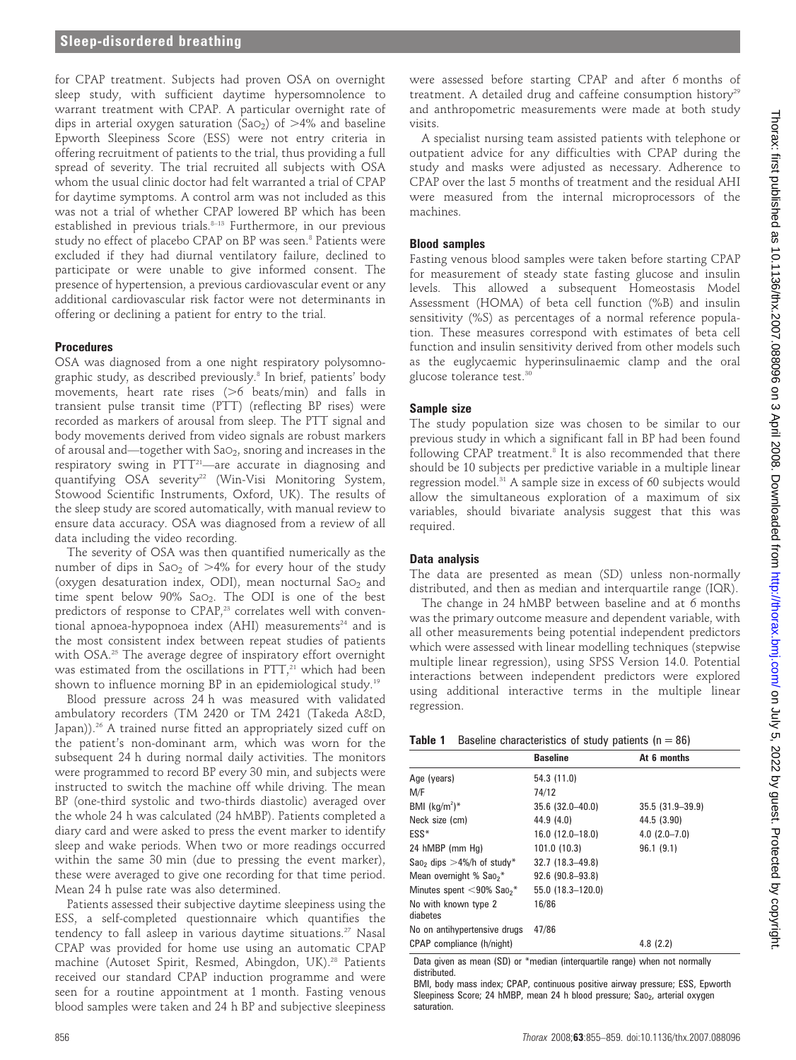for CPAP treatment. Subjects had proven OSA on overnight sleep study, with sufficient daytime hypersomnolence to warrant treatment with CPAP. A particular overnight rate of dips in arterial oxygen saturation (SaO<sub>2</sub>) of  $>4\%$  and baseline Epworth Sleepiness Score (ESS) were not entry criteria in offering recruitment of patients to the trial, thus providing a full spread of severity. The trial recruited all subjects with OSA whom the usual clinic doctor had felt warranted a trial of CPAP for daytime symptoms. A control arm was not included as this was not a trial of whether CPAP lowered BP which has been established in previous trials.8–13 Furthermore, in our previous study no effect of placebo CPAP on BP was seen.<sup>8</sup> Patients were excluded if they had diurnal ventilatory failure, declined to participate or were unable to give informed consent. The presence of hypertension, a previous cardiovascular event or any additional cardiovascular risk factor were not determinants in offering or declining a patient for entry to the trial.

#### **Procedures**

OSA was diagnosed from a one night respiratory polysomnographic study, as described previously.<sup>8</sup> In brief, patients' body movements, heart rate rises  $($ >6 beats/min) and falls in transient pulse transit time (PTT) (reflecting BP rises) were recorded as markers of arousal from sleep. The PTT signal and body movements derived from video signals are robust markers of arousal and—together with  $Sao_2$ , snoring and increases in the respiratory swing in  $PTT^{21}$ —are accurate in diagnosing and quantifying OSA severity<sup>22</sup> (Win-Visi Monitoring System, Stowood Scientific Instruments, Oxford, UK). The results of the sleep study are scored automatically, with manual review to ensure data accuracy. OSA was diagnosed from a review of all data including the video recording.

The severity of OSA was then quantified numerically as the number of dips in SaO<sub>2</sub> of  $>4\%$  for every hour of the study (oxygen desaturation index, ODI), mean nocturnal  $Sao<sub>2</sub>$  and time spent below  $90\%$  Sa $\circ$ . The ODI is one of the best predictors of response to CPAP,<sup>23</sup> correlates well with conventional apnoea-hypopnoea index  $(AHI)$  measurements<sup>24</sup> and is the most consistent index between repeat studies of patients with OSA.<sup>25</sup> The average degree of inspiratory effort overnight was estimated from the oscillations in  $\overline{PTT}$ ,<sup>21</sup> which had been shown to influence morning BP in an epidemiological study.19

Blood pressure across 24 h was measured with validated ambulatory recorders (TM 2420 or TM 2421 (Takeda A&D, Japan)).<sup>26</sup> A trained nurse fitted an appropriately sized cuff on the patient's non-dominant arm, which was worn for the subsequent 24 h during normal daily activities. The monitors were programmed to record BP every 30 min, and subjects were instructed to switch the machine off while driving. The mean BP (one-third systolic and two-thirds diastolic) averaged over the whole 24 h was calculated (24 hMBP). Patients completed a diary card and were asked to press the event marker to identify sleep and wake periods. When two or more readings occurred within the same 30 min (due to pressing the event marker), these were averaged to give one recording for that time period. Mean 24 h pulse rate was also determined.

Patients assessed their subjective daytime sleepiness using the ESS, a self-completed questionnaire which quantifies the tendency to fall asleep in various daytime situations.<sup>27</sup> Nasal CPAP was provided for home use using an automatic CPAP machine (Autoset Spirit, Resmed, Abingdon, UK).<sup>28</sup> Patients received our standard CPAP induction programme and were seen for a routine appointment at 1 month. Fasting venous blood samples were taken and 24 h BP and subjective sleepiness

were assessed before starting CPAP and after 6 months of treatment. A detailed drug and caffeine consumption history<sup>29</sup> and anthropometric measurements were made at both study visits.

A specialist nursing team assisted patients with telephone or outpatient advice for any difficulties with CPAP during the study and masks were adjusted as necessary. Adherence to CPAP over the last 5 months of treatment and the residual AHI were measured from the internal microprocessors of the machines.

## Blood samples

Fasting venous blood samples were taken before starting CPAP for measurement of steady state fasting glucose and insulin levels. This allowed a subsequent Homeostasis Model Assessment (HOMA) of beta cell function (%B) and insulin sensitivity (%S) as percentages of a normal reference population. These measures correspond with estimates of beta cell function and insulin sensitivity derived from other models such as the euglycaemic hyperinsulinaemic clamp and the oral glucose tolerance test.<sup>30</sup>

### Sample size

The study population size was chosen to be similar to our previous study in which a significant fall in BP had been found following CPAP treatment.<sup>8</sup> It is also recommended that there should be 10 subjects per predictive variable in a multiple linear regression model.<sup>31</sup> A sample size in excess of 60 subjects would allow the simultaneous exploration of a maximum of six variables, should bivariate analysis suggest that this was required.

### Data analysis

The data are presented as mean (SD) unless non-normally distributed, and then as median and interquartile range (IQR).

The change in 24 hMBP between baseline and at 6 months was the primary outcome measure and dependent variable, with all other measurements being potential independent predictors which were assessed with linear modelling techniques (stepwise multiple linear regression), using SPSS Version 14.0. Potential interactions between independent predictors were explored using additional interactive terms in the multiple linear regression.

| Table 1 |  | Baseline characteristics of study patients ( $n = 86$ ) |  |  |  |  |  |
|---------|--|---------------------------------------------------------|--|--|--|--|--|
|---------|--|---------------------------------------------------------|--|--|--|--|--|

| <b>Baseline</b>        | At 6 months         |
|------------------------|---------------------|
| 54.3 (11.0)            |                     |
| 74/12                  |                     |
| $35.6$ $(32.0 - 40.0)$ | $35.5(31.9 - 39.9)$ |
| 44.9 (4.0)             | 44.5 (3.90)         |
| $16.0(12.0-18.0)$      | $4.0$ $(2.0 - 7.0)$ |
| 101.0 (10.3)           | 96.1(9.1)           |
| $32.7(18.3 - 49.8)$    |                     |
| $92.6(90.8 - 93.8)$    |                     |
| 55.0 (18.3-120.0)      |                     |
| 16/86                  |                     |
| 47/86                  |                     |
|                        | 4.8(2.2)            |
|                        |                     |

Data given as mean (SD) or \*median (interquartile range) when not normally distributed.

BMI, body mass index; CPAP, continuous positive airway pressure; ESS, Epworth Sleepiness Score; 24 hMBP, mean 24 h blood pressure; Sao<sub>2</sub>, arterial oxygen saturation.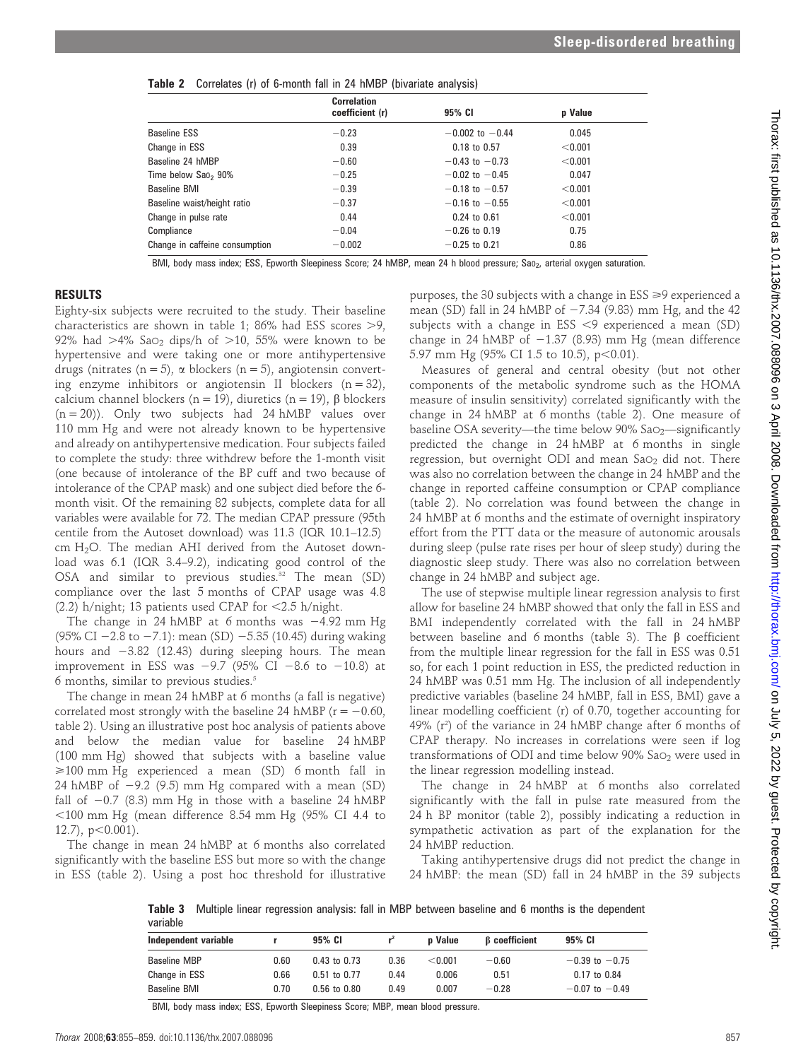|  |  |  |  |  |  | Table 2 Correlates (r) of 6-month fall in 24 hMBP (bivariate analysis) |  |
|--|--|--|--|--|--|------------------------------------------------------------------------|--|
|--|--|--|--|--|--|------------------------------------------------------------------------|--|

|                                 | <b>Correlation</b><br>coefficient (r) | 95% CI              | p Value |
|---------------------------------|---------------------------------------|---------------------|---------|
| <b>Baseline ESS</b>             | $-0.23$                               | $-0.002$ to $-0.44$ | 0.045   |
| Change in ESS                   | 0.39                                  | 0.18 to 0.57        | < 0.001 |
| Baseline 24 hMBP                | $-0.60$                               | $-0.43$ to $-0.73$  | < 0.001 |
| Time below Sao <sub>2</sub> 90% | $-0.25$                               | $-0.02$ to $-0.45$  | 0.047   |
| <b>Baseline BMI</b>             | $-0.39$                               | $-0.18$ to $-0.57$  | < 0.001 |
| Baseline waist/height ratio     | $-0.37$                               | $-0.16$ to $-0.55$  | < 0.001 |
| Change in pulse rate            | 0.44                                  | $0.24$ to $0.61$    | < 0.001 |
| Compliance                      | $-0.04$                               | $-0.26$ to 0.19     | 0.75    |
| Change in caffeine consumption  | $-0.002$                              | $-0.25$ to 0.21     | 0.86    |

BMI, body mass index; ESS, Epworth Sleepiness Score; 24 hMBP, mean 24 h blood pressure; Sao<sub>2</sub>, arterial oxygen saturation.

### RESULTS

Eighty-six subjects were recruited to the study. Their baseline characteristics are shown in table 1; 86% had ESS scores  $>9$ . 92% had  $>4\%$  SaO<sub>2</sub> dips/h of  $>10$ , 55% were known to be hypertensive and were taking one or more antihypertensive drugs (nitrates (n = 5),  $\alpha$  blockers (n = 5), angiotensin converting enzyme inhibitors or angiotensin II blockers  $(n = 32)$ , calcium channel blockers (n = 19), diuretics (n = 19),  $\beta$  blockers  $(n = 20)$ ). Only two subjects had 24 hMBP values over 110 mm Hg and were not already known to be hypertensive and already on antihypertensive medication. Four subjects failed to complete the study: three withdrew before the 1-month visit (one because of intolerance of the BP cuff and two because of intolerance of the CPAP mask) and one subject died before the 6 month visit. Of the remaining 82 subjects, complete data for all variables were available for 72. The median CPAP pressure (95th centile from the Autoset download) was 11.3 (IQR 10.1–12.5) cm H2O. The median AHI derived from the Autoset download was 6.1 (IQR 3.4–9.2), indicating good control of the OSA and similar to previous studies.<sup>32</sup> The mean (SD) compliance over the last 5 months of CPAP usage was 4.8 (2.2) h/night; 13 patients used CPAP for  $<$  2.5 h/night.

The change in 24 hMBP at 6 months was  $-4.92$  mm Hg (95% CI  $-2.8$  to  $-7.1$ ): mean (SD)  $-5.35$  (10.45) during waking hours and  $-3.82$  (12.43) during sleeping hours. The mean improvement in ESS was  $-9.7$  (95% CI  $-8.6$  to  $-10.8$ ) at 6 months, similar to previous studies.5

The change in mean 24 hMBP at 6 months (a fall is negative) correlated most strongly with the baseline 24 hMBP ( $r = -0.60$ , table 2). Using an illustrative post hoc analysis of patients above and below the median value for baseline 24 hMBP (100 mm Hg) showed that subjects with a baseline value >100 mm Hg experienced a mean (SD) 6 month fall in 24 hMBP of  $-9.2$  (9.5) mm Hg compared with a mean (SD) fall of  $-0.7$  (8.3) mm Hg in those with a baseline 24 hMBP  $\leq$ 100 mm Hg (mean difference 8.54 mm Hg (95% CI 4.4 to  $12.7$ ,  $p<0.001$ ).

The change in mean 24 hMBP at 6 months also correlated significantly with the baseline ESS but more so with the change in ESS (table 2). Using a post hoc threshold for illustrative

purposes, the 30 subjects with a change in  $ESS \geq 9$  experienced a mean (SD) fall in 24 hMBP of  $-7.34$  (9.83) mm Hg, and the 42 subjects with a change in ESS  $\leq$ 9 experienced a mean (SD) change in 24 hMBP of  $-1.37$  (8.93) mm Hg (mean difference 5.97 mm Hg (95% CI 1.5 to 10.5), p<0.01).

Measures of general and central obesity (but not other components of the metabolic syndrome such as the HOMA measure of insulin sensitivity) correlated significantly with the change in 24 hMBP at 6 months (table 2). One measure of baseline OSA severity—the time below 90%  $SaO_2$ —significantly predicted the change in 24 hMBP at 6 months in single regression, but overnight ODI and mean SaO<sub>2</sub> did not. There was also no correlation between the change in 24 hMBP and the change in reported caffeine consumption or CPAP compliance (table 2). No correlation was found between the change in 24 hMBP at 6 months and the estimate of overnight inspiratory effort from the PTT data or the measure of autonomic arousals during sleep (pulse rate rises per hour of sleep study) during the diagnostic sleep study. There was also no correlation between change in 24 hMBP and subject age.

The use of stepwise multiple linear regression analysis to first allow for baseline 24 hMBP showed that only the fall in ESS and BMI independently correlated with the fall in 24 hMBP between baseline and 6 months (table 3). The  $\beta$  coefficient from the multiple linear regression for the fall in ESS was 0.51 so, for each 1 point reduction in ESS, the predicted reduction in 24 hMBP was 0.51 mm Hg. The inclusion of all independently predictive variables (baseline 24 hMBP, fall in ESS, BMI) gave a linear modelling coefficient (r) of 0.70, together accounting for 49%  $(r^2)$  of the variance in 24 hMBP change after 6 months of CPAP therapy. No increases in correlations were seen if log transformations of ODI and time below  $90\%$  Sa $\circ$ <sub>2</sub> were used in the linear regression modelling instead.

The change in 24 hMBP at 6 months also correlated significantly with the fall in pulse rate measured from the 24 h BP monitor (table 2), possibly indicating a reduction in sympathetic activation as part of the explanation for the 24 hMBP reduction.

Taking antihypertensive drugs did not predict the change in 24 hMBP: the mean (SD) fall in 24 hMBP in the 39 subjects

Table 3 Multiple linear regression analysis: fall in MBP between baseline and 6 months is the dependent variable

|      | 95% CI           |                  |                      |                | 95% CI               |  |  |  |
|------|------------------|------------------|----------------------|----------------|----------------------|--|--|--|
| 0.60 |                  |                  | < 0.001              | $-0.60$        | $-0.39$ to $-0.75$   |  |  |  |
| 0.66 | $0.51$ to $0.77$ |                  | 0.006                | 0.51           | $0.17$ to $0.84$     |  |  |  |
| 0.70 | $0.56$ to $0.80$ |                  | 0.007                | $-0.28$        | $-0.07$ to $-0.49$   |  |  |  |
|      |                  | $0.43$ to $0.73$ | 0.36<br>0.44<br>0.49 | <b>p</b> Value | <b>B</b> coefficient |  |  |  |

BMI, body mass index; ESS, Epworth Sleepiness Score; MBP, mean blood pressure.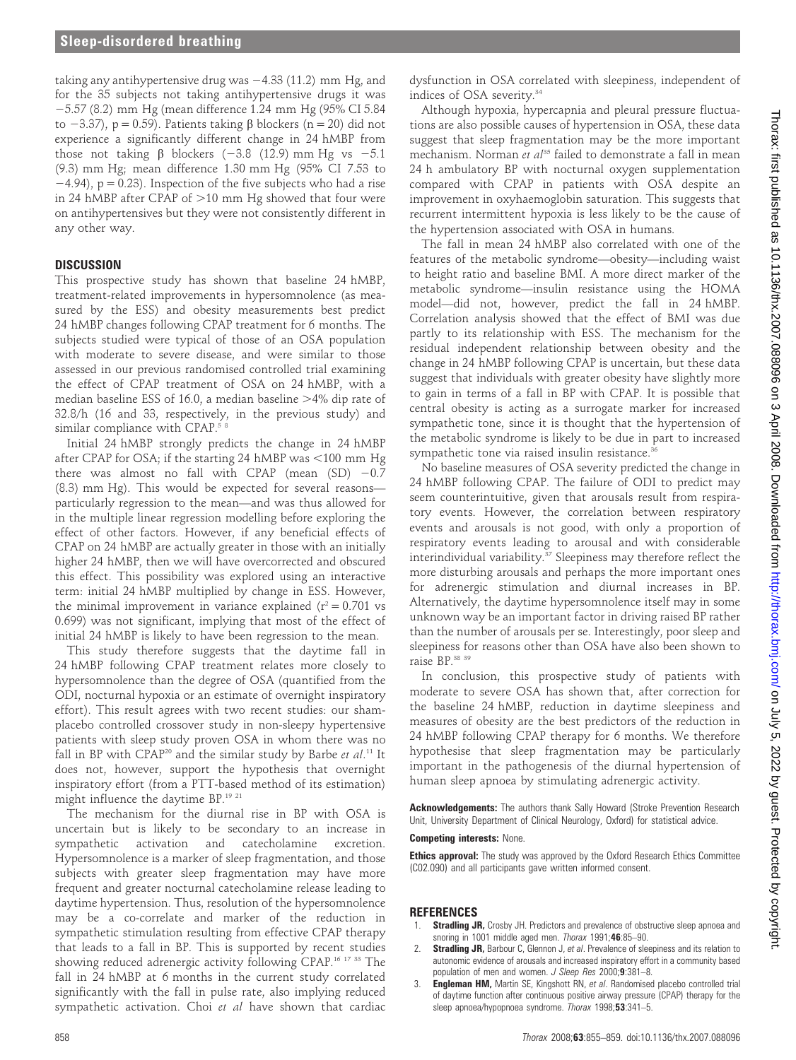taking any antihypertensive drug was  $-4.33$  (11.2) mm Hg, and for the 35 subjects not taking antihypertensive drugs it was 25.57 (8.2) mm Hg (mean difference 1.24 mm Hg (95% CI 5.84 to  $-3.37$ ), p = 0.59). Patients taking  $\beta$  blockers (n = 20) did not experience a significantly different change in 24 hMBP from those not taking  $\beta$  blockers (-3.8 (12.9) mm Hg vs -5.1 (9.3) mm Hg; mean difference 1.30 mm Hg (95% CI 7.53 to  $-4.94$ ),  $p = 0.23$ ). Inspection of the five subjects who had a rise in 24 hMBP after CPAP of  $>10$  mm Hg showed that four were on antihypertensives but they were not consistently different in any other way.

#### **DISCUSSION**

This prospective study has shown that baseline 24 hMBP, treatment-related improvements in hypersomnolence (as measured by the ESS) and obesity measurements best predict 24 hMBP changes following CPAP treatment for 6 months. The subjects studied were typical of those of an OSA population with moderate to severe disease, and were similar to those assessed in our previous randomised controlled trial examining the effect of CPAP treatment of OSA on 24 hMBP, with a median baseline ESS of 16.0, a median baseline  $>4\%$  dip rate of 32.8/h (16 and 33, respectively, in the previous study) and similar compliance with CPAP.<sup>5 8</sup>

Initial 24 hMBP strongly predicts the change in 24 hMBP after CPAP for OSA; if the starting 24 hMBP was  $<$ 100 mm Hg there was almost no fall with CPAP (mean  $(SD)$  -0.7 (8.3) mm Hg). This would be expected for several reasons particularly regression to the mean—and was thus allowed for in the multiple linear regression modelling before exploring the effect of other factors. However, if any beneficial effects of CPAP on 24 hMBP are actually greater in those with an initially higher 24 hMBP, then we will have overcorrected and obscured this effect. This possibility was explored using an interactive term: initial 24 hMBP multiplied by change in ESS. However, the minimal improvement in variance explained  $(r^2 = 0.701 \text{ vs }$ 0.699) was not significant, implying that most of the effect of initial 24 hMBP is likely to have been regression to the mean.

This study therefore suggests that the daytime fall in 24 hMBP following CPAP treatment relates more closely to hypersomnolence than the degree of OSA (quantified from the ODI, nocturnal hypoxia or an estimate of overnight inspiratory effort). This result agrees with two recent studies: our shamplacebo controlled crossover study in non-sleepy hypertensive patients with sleep study proven OSA in whom there was no fall in BP with CPAP<sup>20</sup> and the similar study by Barbe *et al*.<sup>11</sup> It does not, however, support the hypothesis that overnight inspiratory effort (from a PTT-based method of its estimation) might influence the daytime BP.19 21

The mechanism for the diurnal rise in BP with OSA is uncertain but is likely to be secondary to an increase in sympathetic activation and catecholamine excretion. Hypersomnolence is a marker of sleep fragmentation, and those subjects with greater sleep fragmentation may have more frequent and greater nocturnal catecholamine release leading to daytime hypertension. Thus, resolution of the hypersomnolence may be a co-correlate and marker of the reduction in sympathetic stimulation resulting from effective CPAP therapy that leads to a fall in BP. This is supported by recent studies showing reduced adrenergic activity following CPAP.16 17 33 The fall in 24 hMBP at 6 months in the current study correlated significantly with the fall in pulse rate, also implying reduced sympathetic activation. Choi et al have shown that cardiac

dysfunction in OSA correlated with sleepiness, independent of indices of OSA severity.<sup>34</sup>

Although hypoxia, hypercapnia and pleural pressure fluctuations are also possible causes of hypertension in OSA, these data suggest that sleep fragmentation may be the more important mechanism. Norman et  $a^{135}$  failed to demonstrate a fall in mean 24 h ambulatory BP with nocturnal oxygen supplementation compared with CPAP in patients with OSA despite an improvement in oxyhaemoglobin saturation. This suggests that recurrent intermittent hypoxia is less likely to be the cause of the hypertension associated with OSA in humans.

The fall in mean 24 hMBP also correlated with one of the features of the metabolic syndrome—obesity—including waist to height ratio and baseline BMI. A more direct marker of the metabolic syndrome—insulin resistance using the HOMA model—did not, however, predict the fall in 24 hMBP. Correlation analysis showed that the effect of BMI was due partly to its relationship with ESS. The mechanism for the residual independent relationship between obesity and the change in 24 hMBP following CPAP is uncertain, but these data suggest that individuals with greater obesity have slightly more to gain in terms of a fall in BP with CPAP. It is possible that central obesity is acting as a surrogate marker for increased sympathetic tone, since it is thought that the hypertension of the metabolic syndrome is likely to be due in part to increased sympathetic tone via raised insulin resistance.<sup>36</sup>

No baseline measures of OSA severity predicted the change in 24 hMBP following CPAP. The failure of ODI to predict may seem counterintuitive, given that arousals result from respiratory events. However, the correlation between respiratory events and arousals is not good, with only a proportion of respiratory events leading to arousal and with considerable interindividual variability. $37$  Sleepiness may therefore reflect the more disturbing arousals and perhaps the more important ones for adrenergic stimulation and diurnal increases in BP. Alternatively, the daytime hypersomnolence itself may in some unknown way be an important factor in driving raised BP rather than the number of arousals per se. Interestingly, poor sleep and sleepiness for reasons other than OSA have also been shown to raise BP.<sup>38 39</sup>

In conclusion, this prospective study of patients with moderate to severe OSA has shown that, after correction for the baseline 24 hMBP, reduction in daytime sleepiness and measures of obesity are the best predictors of the reduction in 24 hMBP following CPAP therapy for 6 months. We therefore hypothesise that sleep fragmentation may be particularly important in the pathogenesis of the diurnal hypertension of human sleep apnoea by stimulating adrenergic activity.

Acknowledgements: The authors thank Sally Howard (Stroke Prevention Research Unit, University Department of Clinical Neurology, Oxford) for statistical advice.

#### Competing interests: None.

**Ethics approval:** The study was approved by the Oxford Research Ethics Committee (C02.090) and all participants gave written informed consent.

#### **REFERENCES**

- Stradling JR, Crosby JH. Predictors and prevalence of obstructive sleep apnoea and snoring in 1001 middle aged men. Thorax 1991;46:85–90.
- **Stradling JR,** Barbour C, Glennon J, et al. Prevalence of sleepiness and its relation to autonomic evidence of arousals and increased inspiratory effort in a community based population of men and women. J Sleep Res 2000;9:381-8.
- 3. Engleman HM, Martin SE, Kingshott RN, et al. Randomised placebo controlled trial of daytime function after continuous positive airway pressure (CPAP) therapy for the sleep apnoea/hypopnoea syndrome. Thorax 1998;53:341-5.